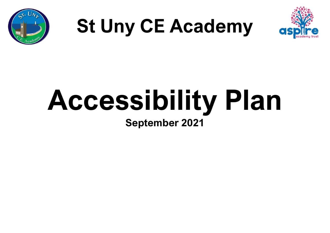

# **St Uny CE Academy**



## **Accessibility Plan September 2021**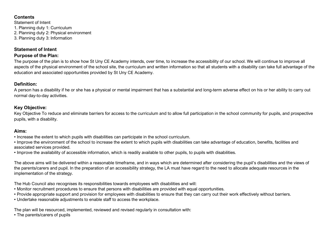#### **Contents**

Statement of Intent 1. Planning duty 1: Curriculum 2. Planning duty 2: Physical environment 3. Planning duty 3: Information

#### **Statement of Intent**

#### **Purpose of the Plan:**

The purpose of the plan is to show how St Uny CE Academy intends, over time, to increase the accessibility of our school. We will continue to improve all aspects of the physical environment of the school site, the curriculum and written information so that all students with a disability can take full advantage of the education and associated opportunities provided by St Uny CE Academy.

#### **Definition:**

A person has a disability if he or she has a physical or mental impairment that has a substantial and long-term adverse effect on his or her ability to carry out normal day-to-day activities.

#### **Key Objective:**

Key Objective To reduce and eliminate barriers for access to the curriculum and to allow full participation in the school community for pupils, and prospective pupils, with a disability.

#### **Aims:**

• Increase the extent to which pupils with disabilities can participate in the school curriculum.

• Improve the environment of the school to increase the extent to which pupils with disabilities can take advantage of education, benefits, facilities and associated services provided.

• Improve the availability of accessible information, which is readily available to other pupils, to pupils with disabilities.

The above aims will be delivered within a reasonable timeframe, and in ways which are determined after considering the pupil's disabilities and the views of the parents/carers and pupil. In the preparation of an accessibility strategy, the LA must have regard to the need to allocate adequate resources in the implementation of the strategy.

The Hub Council also recognises its responsibilities towards employees with disabilities and will:

- Monitor recruitment procedures to ensure that persons with disabilities are provided with equal opportunities.
- Provide appropriate support and provision for employees with disabilities to ensure that they can carry out their work effectively without barriers.
- Undertake reasonable adjustments to enable staff to access the workplace.

The plan will be resourced, implemented, reviewed and revised regularly in consultation with:

• The parents/carers of pupils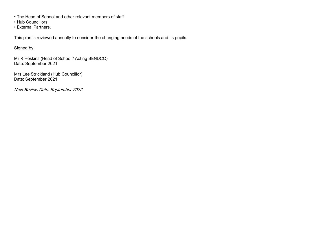- The Head of School and other relevant members of staff
- Hub Councillors
- External Partners.

This plan is reviewed annually to consider the changing needs of the schools and its pupils.

Signed by:

Mr R Hoskins (Head of School / Acting SENDCO) Date: September 2021

Mrs Lee Strickland (Hub Councillor) Date: September 2021

Next Review Date: September 2022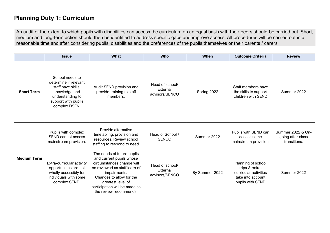## **Planning Duty 1: Curriculum**

An audit of the extent to which pupils with disabilities can access the curriculum on an equal basis with their peers should be carried out. Short, medium and long-term action should then be identified to address specific gaps and improve access. All procedures will be carried out in a reasonable time and after considering pupils' disabilities and the preferences of the pupils themselves or their parents / carers.

|                    | <b>Issue</b>                                                                                                                                | <b>What</b>                                                                                                                                                                                                                                      | <b>Who</b>                                    | When           | <b>Outcome Criteria</b>                                                                                | <b>Review</b>                                          |
|--------------------|---------------------------------------------------------------------------------------------------------------------------------------------|--------------------------------------------------------------------------------------------------------------------------------------------------------------------------------------------------------------------------------------------------|-----------------------------------------------|----------------|--------------------------------------------------------------------------------------------------------|--------------------------------------------------------|
| <b>Short Term</b>  | School needs to<br>determine if relevant<br>staff have skills,<br>knowledge and<br>understanding to<br>support with pupils<br>complex DSEN. | Audit SEND provision and<br>provide training to staff<br>members.                                                                                                                                                                                | Head of school/<br>External<br>advisors/SENCO | Spring 2022    | Staff members have<br>the skills to support<br>children with SEND                                      | Summer 2022                                            |
| <b>Medium Term</b> | Pupils with complex<br><b>SEND cannot access</b><br>mainstream provision.                                                                   | Provide alternative<br>timetabling, provision and<br>resources. Review school<br>staffing to respond to need.                                                                                                                                    | Head of School /<br><b>SENCO</b>              | Summer 2022    | Pupils with SEND can<br>access some<br>mainstream provision.                                           | Summer 2022 & On-<br>going after class<br>transitions. |
|                    | Extra-curricular activity<br>opportunities are not<br>wholly accessibly for<br>individuals with some<br>complex SEND.                       | The needs of future pupils<br>and current pupils whose<br>circumstances change will<br>be reviewed as staff learn of<br>impairments.<br>Changes to allow for the<br>greatest level of<br>participation will be made as<br>the review recommends. | Head of school/<br>External<br>advisors/SENCO | By Summer 2022 | Planning of school<br>trips & extra-<br>curricular activities<br>take into account<br>pupils with SEND | Summer 2022                                            |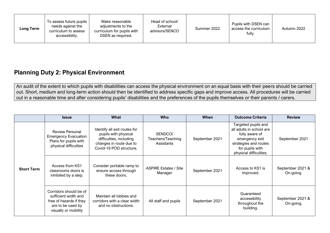## **Planning Duty 2: Physical Environment**

An audit of the extent to which pupils with disabilities can access the physical environment on an equal basis with their peers should be carried out. Short, medium and long-term action should then be identified to address specific gaps and improve access. All procedures will be carried out in a reasonable time and after considering pupils' disabilities and the preferences of the pupils themselves or their parents / carers.

|                   | <b>Issue</b>                                                                                                           | <b>What</b>                                                                                                                           | <b>Who</b>                                 | <b>When</b>    | <b>Outcome Criteria</b>                                                                                                                                   | <b>Review</b>                 |
|-------------------|------------------------------------------------------------------------------------------------------------------------|---------------------------------------------------------------------------------------------------------------------------------------|--------------------------------------------|----------------|-----------------------------------------------------------------------------------------------------------------------------------------------------------|-------------------------------|
| <b>Short Term</b> | <b>Review Personal</b><br><b>Emergency Evacuation</b><br>Plans for pupils with<br>physical difficulties                | Identify all exit routes for<br>pupils with physical<br>difficulties, including<br>changes in route due to<br>Covid-19 POD structure. | SENDCO/<br>Teachers/Teaching<br>Assistants | September 2021 | Targeted pupils and<br>all adults in school are<br>fully aware of<br>emergency exit<br>strategies and routes<br>for pupils with<br>physical difficulties. | September 2021                |
|                   | Access from KS1<br>classrooms doors is<br>inhibited by a step.                                                         | Consider portable ramp to<br>ensure access through<br>these doors.                                                                    | <b>ASPIRE Estates / Site</b><br>Manager    | September 2021 | Access to KS1 is<br>improved.                                                                                                                             | September 2021 &<br>On-going. |
|                   | Corridors should be of<br>sufficient width and<br>free of hazards if they<br>are to be used by<br>visually or mobility | Maintain all lobbies and<br>corridors with a clear width<br>and no obstructions.                                                      | All staff and pupils                       | September 2021 | Guaranteed<br>accessibility<br>throughout the<br>building.                                                                                                | September 2021 &<br>On-going. |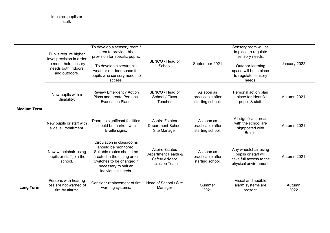|                    | impaired pupils or<br>staff.                                                                                      |                                                                                                                                                                                           |                                                                                         |                                                     |                                                                                                                                               |                |
|--------------------|-------------------------------------------------------------------------------------------------------------------|-------------------------------------------------------------------------------------------------------------------------------------------------------------------------------------------|-----------------------------------------------------------------------------------------|-----------------------------------------------------|-----------------------------------------------------------------------------------------------------------------------------------------------|----------------|
| <b>Medium Term</b> | Pupils require higher<br>level provision in order<br>to meet their sensory<br>needs both indoors<br>and outdoors. | To develop a sensory room /<br>area to provide this<br>provision for specific pupils.<br>To develop a secure all-<br>weather outdoor space for<br>pupils who sensory needs to<br>access.  | SENCO / Head of<br>School                                                               | September 2021                                      | Sensory room will be<br>in place to regulate<br>sensory needs.<br>Outdoor learning<br>space will be in place<br>to regulate sensory<br>needs. | January 2022   |
|                    | New pupils with a<br>disability.                                                                                  | <b>Review Emergency Action</b><br>Plans and create Personal<br><b>Evacuation Plans.</b>                                                                                                   | SENCO / Head of<br>School / Class<br>Teacher                                            | As soon as<br>practicable after<br>starting school. | Personal action plan<br>in place for identified<br>pupils & staff.                                                                            | Autumn 2021    |
|                    | New pupils or staff with<br>a visual impairment.                                                                  | Doors to significant facilities<br>should be marked with<br>Braille signs.                                                                                                                | <b>Aspire Estates</b><br>Department School<br>Site Manager                              | As soon as<br>practicable after<br>starting school. | All significant areas<br>with the school are<br>signposted with<br>Braille.                                                                   | Autumn 2021    |
|                    | New wheelchair-using<br>pupils or staff join the<br>school.                                                       | Circulation in classrooms<br>should be monitored.<br>Suitable routes should be<br>created in the dining area.<br>Switches to be changed if<br>necessary to suit an<br>individual's needs. | <b>Aspire Estates</b><br>Department Health &<br>Safety Advisor<br><b>Inclusion Team</b> | As soon as<br>practicable after<br>starting school. | Any wheelchair using<br>pupils or staff will<br>have full access to the<br>physical environment.                                              | Autumn 2021    |
| <b>Long Term</b>   | Persons with hearing<br>loss are not warned of<br>fire by alarms                                                  | Consider replacement of fire<br>warning systems.                                                                                                                                          | Head of School / Site<br>Manager                                                        | Summer<br>2021                                      | Visual and audible<br>alarm systems are<br>present.                                                                                           | Autumn<br>2022 |